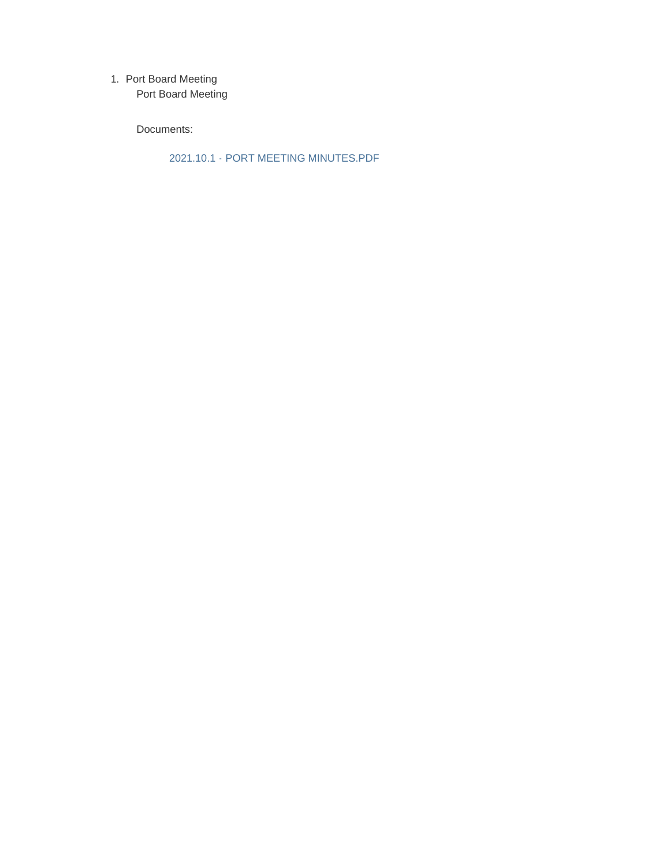1. Port Board Meeting

Port Board Meeting

Documents:

2021.10.1 - PORT MEETING MINUTES.PDF